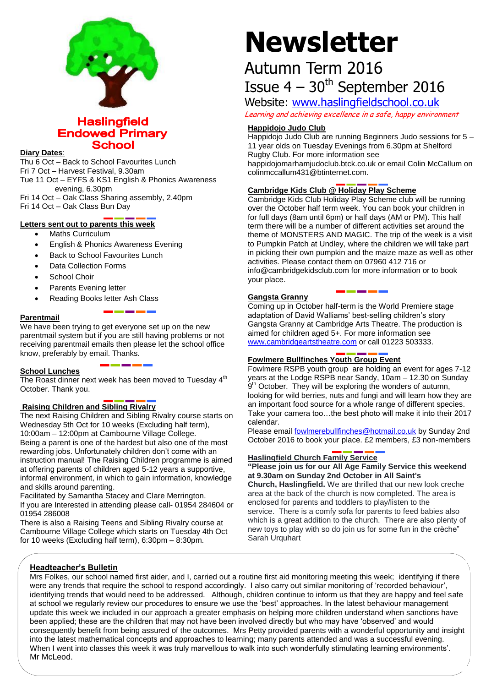

# **Haslingfield Endowed Primary School**

#### **Diary Dates**:

Thu 6 Oct – Back to School Favourites Lunch Fri 7 Oct – Harvest Festival, 9.30am Tue 11 Oct – EYFS & KS1 English & Phonics Awareness evening, 6.30pm Fri 14 Oct – Oak Class Sharing assembly, 2.40pm

Fri 14 Oct – Oak Class Bun Day

# **Letters sent out to parents this week**

- Maths Curriculum
- English & Phonics Awareness Evening
- Back to School Favourites Lunch
- Data Collection Forms
- School Choir
- Parents Evening letter
- Reading Books letter Ash Class

# **Parentmail**

We have been trying to get everyone set up on the new parentmail system but if you are still having problems or not receiving parentmail emails then please let the school office know, preferably by email. Thanks.

### **School Lunches**

The Roast dinner next week has been moved to Tuesday  $4<sup>th</sup>$ October. Thank you.

# **Raising Children and Sibling Rivalry**

The next Raising Children and Sibling Rivalry course starts on Wednesday 5th Oct for 10 weeks (Excluding half term), 10:00am – 12:00pm at Cambourne Village College. Being a parent is one of the hardest but also one of the most

rewarding jobs. Unfortunately children don't come with an instruction manual! The Raising Children programme is aimed at offering parents of children aged 5-12 years a supportive, informal environment, in which to gain information, knowledge and skills around parenting.

Facilitated by Samantha Stacey and Clare Merrington. If you are Interested in attending please call- 01954 284604 or 01954 286008

There is also a Raising Teens and Sibling Rivalry course at Cambourne Village College which starts on Tuesday 4th Oct for 10 weeks (Excluding half term), 6:30pm – 8:30pm.

# **Newsletter**

# Autumn Term 2016 Issue  $4 - 30$ <sup>th</sup> September 2016

Website: [www.haslingfieldschool.co.uk](http://www.haslingfieldschool.co.uk/)

Learning and achieving excellence in a safe, happy environment

# **Happidojo Judo Club**

Happidojo Judo Club are running Beginners Judo sessions for 5 – 11 year olds on Tuesday Evenings from 6.30pm at Shelford Rugby Club. For more information see happidojomarhamjudoclub.btck.co.uk or email Colin McCallum on colinmccallum431@btinternet.com.

# **Cambridge Kids Club @ Holiday Play Scheme**

Cambridge Kids Club Holiday Play Scheme club will be running over the October half term week. You can book your children in for full days (8am until 6pm) or half days (AM or PM). This half term there will be a number of different activities set around the theme of MONSTERS AND MAGIC. The trip of the week is a visit to Pumpkin Patch at Undley, where the children we will take part in picking their own pumpkin and the maize maze as well as other activities. Please contact them on 07960 412 716 or info@cambridgekidsclub.com for more information or to book your place.

### **Gangsta Granny**

Coming up in October half-term is the World Premiere stage adaptation of David Walliams' best-selling children's story Gangsta Granny at Cambridge Arts Theatre. The production is aimed for children aged 5+. For more information see [www.cambridgeartstheatre.com](http://www.cambridgeartstheatre.com/) or call 01223 503333.

# **Fowlmere Bullfinches Youth Group Event**

Fowlmere RSPB youth group are holding an event for ages 7-12 years at the Lodge RSPB near Sandy, 10am – 12.30 on Sunday 9<sup>th</sup> October. They will be exploring the wonders of autumn, looking for wild berries, nuts and fungi and will learn how they are an important food source for a whole range of different species. Take your camera too…the best photo will make it into their 2017 calendar.

Please emai[l fowlmerebullfinches@hotmail.co.uk](mailto:fowlmerebullfinches@hotmail.co.uk) by Sunday 2nd October 2016 to book your place. £2 members, £3 non-members

# **Haslingfield Church Family Service**

**"Please join us for our All Age Family Service this weekend at 9.30am on Sunday 2nd October in All Saint's** 

**Church, Haslingfield.** We are thrilled that our new look creche area at the back of the church is now completed. The area is enclosed for parents and toddlers to play/listen to the service. There is a comfy sofa for parents to feed babies also which is a great addition to the church. There are also plenty of new toys to play with so do join us for some fun in the crèche" Sarah Urquhart

# **Headteacher's Bulletin**

Mrs Folkes, our school named first aider, and I, carried out a routine first aid monitoring meeting this week; identifying if there were any trends that require the school to respond accordingly. I also carry out similar monitoring of 'recorded behaviour', identifying trends that would need to be addressed. Although, children continue to inform us that they are happy and feel safe at school we regularly review our procedures to ensure we use the 'best' approaches. In the latest behaviour management update this week we included in our approach a greater emphasis on helping more children understand when sanctions have been applied; these are the children that may not have been involved directly but who may have 'observed' and would consequently benefit from being assured of the outcomes. Mrs Petty provided parents with a wonderful opportunity and insight into the latest mathematical concepts and approaches to learning; many parents attended and was a successful evening. When I went into classes this week it was truly marvellous to walk into such wonderfully stimulating learning environments'. Mr McLeod.